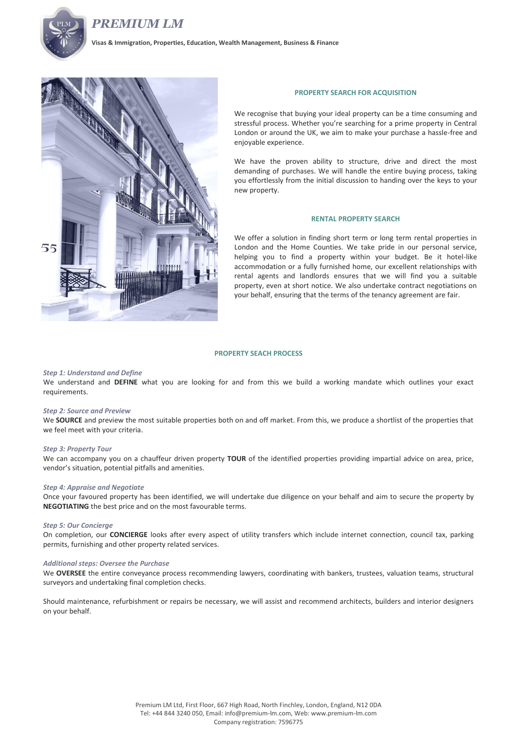



**Visas & Immigration, Properties, Education, Wealth Management, Business & Finance**



### **PROPERTY SEARCH FOR ACQUISITION**

We recognise that buying your ideal property can be a time consuming and stressful process. Whether you're searching for a prime property in Central London or around the UK, we aim to make your purchase a hassle-free and enjoyable experience.

We have the proven ability to structure, drive and direct the most demanding of purchases. We will handle the entire buying process, taking you effortlessly from the initial discussion to handing over the keys to your new property.

#### **RENTAL PROPERTY SEARCH**

We offer a solution in finding short term or long term rental properties in London and the Home Counties. We take pride in our personal service, helping you to find a property within your budget. Be it hotel-like accommodation or a fully furnished home, our excellent relationships with rental agents and landlords ensures that we will find you a suitable property, even at short notice. We also undertake contract negotiations on your behalf, ensuring that the terms of the tenancy agreement are fair.

# **PROPERTY SEACH PROCESS**

### *Step 1: Understand and Define*

We understand and **DEFINE** what you are looking for and from this we build a working mandate which outlines your exact requirements.

## *Step 2: Source and Preview*

We **SOURCE** and preview the most suitable properties both on and off market. From this, we produce a shortlist of the properties that we feel meet with your criteria.

### *Step 3: Property Tour*

We can accompany you on a chauffeur driven property **TOUR** of the identified properties providing impartial advice on area, price, vendor's situation, potential pitfalls and amenities.

#### *Step 4: Appraise and Negotiate*

Once your favoured property has been identified, we will undertake due diligence on your behalf and aim to secure the property by **NEGOTIATING** the best price and on the most favourable terms.

### *Step 5: Our Concierge*

On completion, our **CONCIERGE** looks after every aspect of utility transfers which include internet connection, council tax, parking permits, furnishing and other property related services.

### *Additional steps: Oversee the Purchase*

We **OVERSEE** the entire conveyance process recommending lawyers, coordinating with bankers, trustees, valuation teams, structural surveyors and undertaking final completion checks.

Should maintenance, refurbishment or repairs be necessary, we will assist and recommend architects, builders and interior designers on your behalf.